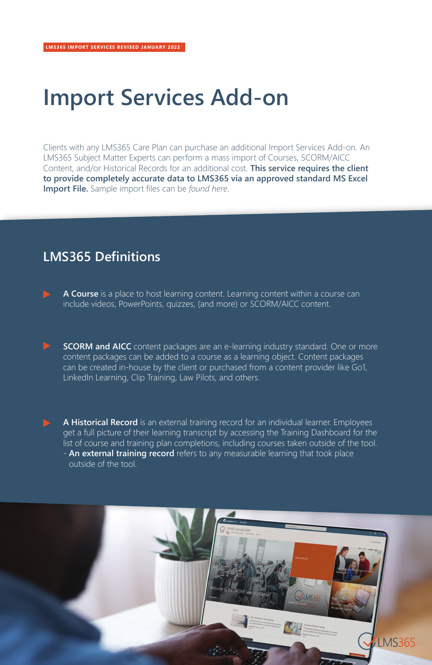## **Import Services Add-on**

Clients with any LMS365 Care Plan can purchase an additional Import Services Add-on. An LMS365 Subject Matter Experts can perform a mass import of Courses, SCORM/AICC Content, and/or Historical Records for an additional cost. **This service requires the client to provide completely accurate data to LMS365 via an approved standard MS Excel Import File.** Sample import files can be *[found here](https://elearningforce-my.sharepoint.com/:f:/g/personal/aw_lms365_com/Ei9YG7VjGj5Kitt6bi9WjCsBXcR1vbJFzm1V9_ZT1QcLBw?xsdata=MDN8MDF8fDg3NjVjMDE5ODZmZjQ3OGFiNmZkMjlkNTdkNzYxYTY3fDE1YjBkY2QyMjlkZTRkODc4OWMwNWUyZTZhOGZmN2Q2fDF8MHw2Mzc4MDEzODA2NzY2NDI4Nzd8R29vZHxWR1ZoYlhOVFpXTjFjbWwwZVZObGNuWnBZMlY4ZXlKV0lqb2lNQzR3TGpBd01EQWlMQ0pRSWpvaVYybHVNeklpTENKQlRpSTZJazkwYUdWeUlpd2lWMVFpT2pFeGZRPT0%3D&sdata=eExqSmhlenkwMTVpOHIxZ3NqWm5MQjhiWEhZemZEMTZOeFljVXpqWXpTcz0%3D&ovuser=15b0dcd2-29de-4d87-89c0-5e2e6a8ff7d6%2Ccrs%40lms365.com)*.

## **LMS365 Definitions**

- **A Course** is a place to host learning content. Learning content within a course can include videos, PowerPoints, quizzes, (and more) or SCORM/AICC content.
- **SCORM and AICC** content packages are an e-learning industry standard. One or more content packages can be added to a course as a learning object. Content packages can be created in-house by the client or purchased from a content provider like Go1, LinkedIn Learning, Clip Training, Law Pilots, and others.
- **A Historical Record** is an external training record for an individual learner. Employees get a full picture of their learning transcript by accessing the Training Dashboard for the list of course and training plan completions, including courses taken outside of the tool. - **An external training record** refers to any measurable learning that took place outside of the tool.